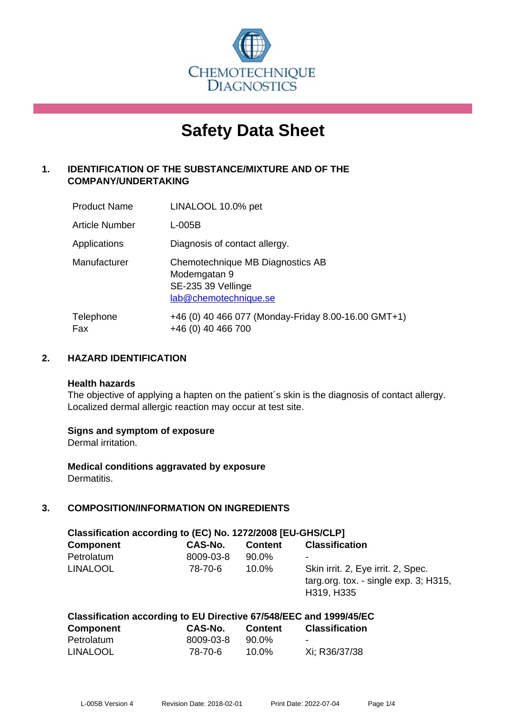

# **Safety Data Sheet**

# **1. IDENTIFICATION OF THE SUBSTANCE/MIXTURE AND OF THE COMPANY/UNDERTAKING**

| <b>Product Name</b>   | LINALOOL 10.0% pet                                                                              |
|-----------------------|-------------------------------------------------------------------------------------------------|
| <b>Article Number</b> | L-005B                                                                                          |
| Applications          | Diagnosis of contact allergy.                                                                   |
| Manufacturer          | Chemotechnique MB Diagnostics AB<br>Modemgatan 9<br>SE-235 39 Vellinge<br>lab@chemotechnique.se |
| Telephone<br>Fax      | +46 (0) 40 466 077 (Monday-Friday 8.00-16.00 GMT+1)<br>+46 (0) 40 466 700                       |

## **2. HAZARD IDENTIFICATION**

#### **Health hazards**

The objective of applying a hapten on the patient's skin is the diagnosis of contact allergy. Localized dermal allergic reaction may occur at test site.

#### **Signs and symptom of exposure**

Dermal irritation.

**Medical conditions aggravated by exposure** Dermatitis.

# **3. COMPOSITION/INFORMATION ON INGREDIENTS**

| Classification according to (EC) No. 1272/2008 [EU-GHS/CLP] |           |                |                                                                                              |  |
|-------------------------------------------------------------|-----------|----------------|----------------------------------------------------------------------------------------------|--|
| <b>Component</b>                                            | CAS-No.   | <b>Content</b> | <b>Classification</b>                                                                        |  |
| Petrolatum                                                  | 8009-03-8 | 90.0%          | ٠                                                                                            |  |
| <b>LINALOOL</b>                                             | 78-70-6   | $10.0\%$       | Skin irrit. 2, Eye irrit. 2, Spec.<br>targ.org. tox. - single $exp. 3$ ; H315,<br>H319, H335 |  |

# **Classification according to EU Directive 67/548/EEC and 1999/45/EC**

| <b>Component</b> | CAS-No.   | <b>Content</b> | <b>Classification</b> |
|------------------|-----------|----------------|-----------------------|
| Petrolatum       | 8009-03-8 | 90.0%          | -                     |
| <b>LINALOOL</b>  | 78-70-6   | 10.0%          | Xi; R36/37/38         |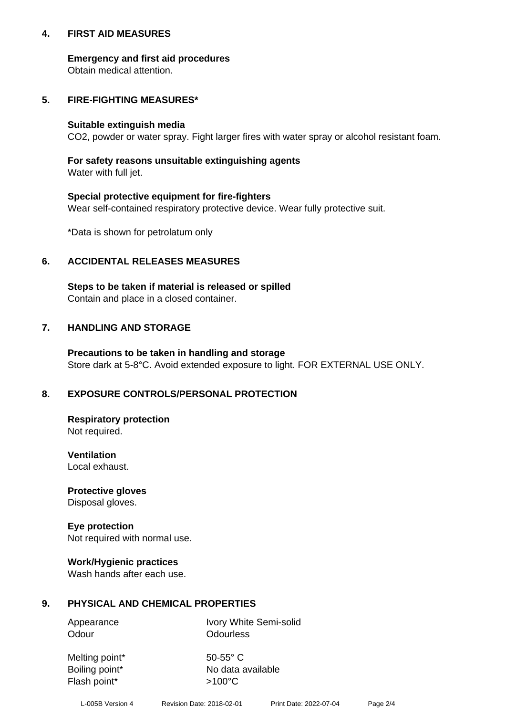## **4. FIRST AID MEASURES**

## **Emergency and first aid procedures**

Obtain medical attention.

# **5. FIRE-FIGHTING MEASURES\***

#### **Suitable extinguish media**

CO2, powder or water spray. Fight larger fires with water spray or alcohol resistant foam.

# **For safety reasons unsuitable extinguishing agents**

Water with full jet.

## **Special protective equipment for fire-fighters**

Wear self-contained respiratory protective device. Wear fully protective suit.

\*Data is shown for petrolatum only

## **6. ACCIDENTAL RELEASES MEASURES**

**Steps to be taken if material is released or spilled** Contain and place in a closed container.

# **7. HANDLING AND STORAGE**

**Precautions to be taken in handling and storage** Store dark at 5-8°C. Avoid extended exposure to light. FOR EXTERNAL USE ONLY.

# **8. EXPOSURE CONTROLS/PERSONAL PROTECTION**

**Respiratory protection** Not required.

**Ventilation** Local exhaust.

**Protective gloves** Disposal gloves.

#### **Eye protection** Not required with normal use.

## **Work/Hygienic practices**

Wash hands after each use.

## **9. PHYSICAL AND CHEMICAL PROPERTIES**

Odour **Odourless** 

Appearance Ivory White Semi-solid

Melting point\* 50-55° C Flash point\*  $>100^{\circ}$ C

Boiling point\* No data available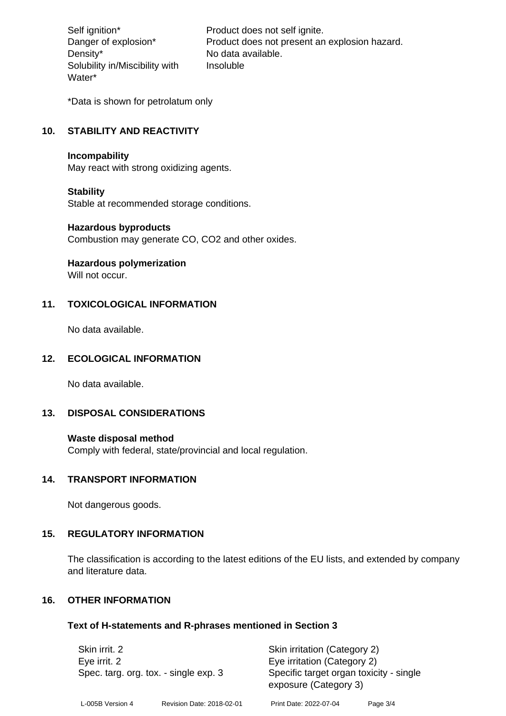Density\* No data available. Solubility in/Miscibility with Water\*

Self ignition\* Product does not self ignite. Danger of explosion\* Product does not present an explosion hazard. Insoluble

\*Data is shown for petrolatum only

# **10. STABILITY AND REACTIVITY**

#### **Incompability**

May react with strong oxidizing agents.

#### **Stability**

Stable at recommended storage conditions.

#### **Hazardous byproducts**

Combustion may generate CO, CO2 and other oxides.

**Hazardous polymerization**

Will not occur.

## **11. TOXICOLOGICAL INFORMATION**

No data available.

## **12. ECOLOGICAL INFORMATION**

No data available.

## **13. DISPOSAL CONSIDERATIONS**

#### **Waste disposal method**

Comply with federal, state/provincial and local regulation.

#### **14. TRANSPORT INFORMATION**

Not dangerous goods.

## **15. REGULATORY INFORMATION**

The classification is according to the latest editions of the EU lists, and extended by company and literature data.

#### **16. OTHER INFORMATION**

#### **Text of H-statements and R-phrases mentioned in Section 3**

| Skin irrit. 2<br>Eye irrit. 2<br>Spec. targ. org. tox. - single exp. 3 |  | Skin irritation (Category 2)<br>Eye irritation (Category 2) |                           |                        |
|------------------------------------------------------------------------|--|-------------------------------------------------------------|---------------------------|------------------------|
|                                                                        |  |                                                             |                           |                        |
|                                                                        |  | L-005B Version 4                                            | Revision Date: 2018-02-01 | Print Date: 2022-07-04 |